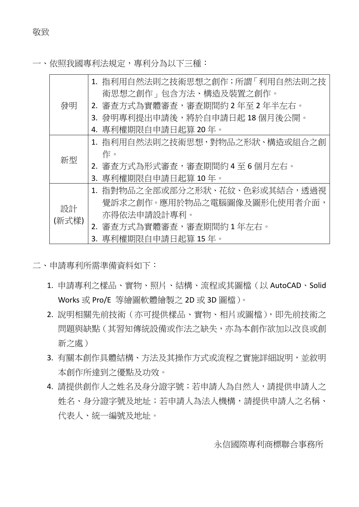一、依照我國專利法規定,專利分為以下三種:

| 發明          | 1. 指利用自然法則之技術思想之創作;所謂「利用自然法則之技 |
|-------------|--------------------------------|
|             | 術思想之創作」包含方法、構造及裝置之創作。          |
|             | 2. 審查方式為實體審查,審查期間約2年至2年半左右。    |
|             | 3. 發明專利提出申請後,將於自申請日起 18 個月後公開。 |
|             | 4. 專利權期限自申請日起算 20年。            |
| 新型          | 1. 指利用自然法則之技術思想,對物品之形狀、構造或組合之創 |
|             | 作。                             |
|             | 2. 審查方式為形式審查,審查期間約4至6個月左右。     |
|             | 3. 專利權期限自申請日起算 10年。            |
| 設計<br>(新式樣) | 1. 指對物品之全部或部分之形狀、花紋、色彩或其結合,透過視 |
|             | - 覺訴求之創作。應用於物品之電腦圖像及圖形化使用者介面,  |
|             | 亦得依法申請設計專利。                    |
|             | 2. 審查方式為實體審查,審查期間約1年左右。        |
|             | 3. 專利權期限自申請日起算 15年。            |

二、申請專利所需準備資料如下:

- 1. 申請專利之樣品、實物、照片、結構、流程或其圖檔(以 AutoCAD、Solid Works 或 Pro/E 等繪圖軟體繪製之 2D 或 3D 圖檔)。
- 2. 說明相關先前技術(亦可提供樣品、實物、相片或圖檔),即先前技術之 問題與缺點(其習知傳統設備或作法之缺失,亦為本創作欲加以改良或創 新之處)
- 3. 有關本創作具體結構、方法及其操作方式或流程之實施詳細說明,並敘明 本創作所達到之優點及功效。
- 4. 請提供創作人之姓名及身分證字號;若申請人為自然人,請提供申請人之 姓名、身分證字號及地址;若申請人為法人機構,請提供申請人之名稱、 代表人、統一編號及地址。

永信國際專利商標聯合事務所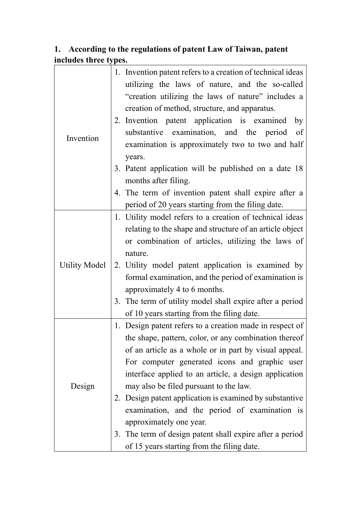## **1. According to the regulations of patent Law of Taiwan, patent includes three types.**

| Invention            | 1. Invention patent refers to a creation of technical ideas<br>utilizing the laws of nature, and the so-called<br>"creation utilizing the laws of nature" includes a<br>creation of method, structure, and apparatus.<br>2. Invention patent application is examined by<br>substantive examination, and the period of<br>examination is approximately two to two and half<br>years.<br>3. Patent application will be published on a date 18<br>months after filing.<br>4. The term of invention patent shall expire after a<br>period of 20 years starting from the filing date. |
|----------------------|----------------------------------------------------------------------------------------------------------------------------------------------------------------------------------------------------------------------------------------------------------------------------------------------------------------------------------------------------------------------------------------------------------------------------------------------------------------------------------------------------------------------------------------------------------------------------------|
| <b>Utility Model</b> | 1. Utility model refers to a creation of technical ideas<br>relating to the shape and structure of an article object<br>or combination of articles, utilizing the laws of<br>nature.<br>2. Utility model patent application is examined by<br>formal examination, and the period of examination is<br>approximately 4 to 6 months.                                                                                                                                                                                                                                               |
|                      | 3. The term of utility model shall expire after a period<br>of 10 years starting from the filing date.                                                                                                                                                                                                                                                                                                                                                                                                                                                                           |
| Design               | 1. Design patent refers to a creation made in respect of<br>the shape, pattern, color, or any combination thereof<br>of an article as a whole or in part by visual appeal.<br>For computer generated icons and graphic user<br>interface applied to an article, a design application<br>may also be filed pursuant to the law.<br>2. Design patent application is examined by substantive<br>examination, and the period of examination is<br>approximately one year.<br>3. The term of design patent shall expire after a period<br>of 15 years starting from the filing date.  |